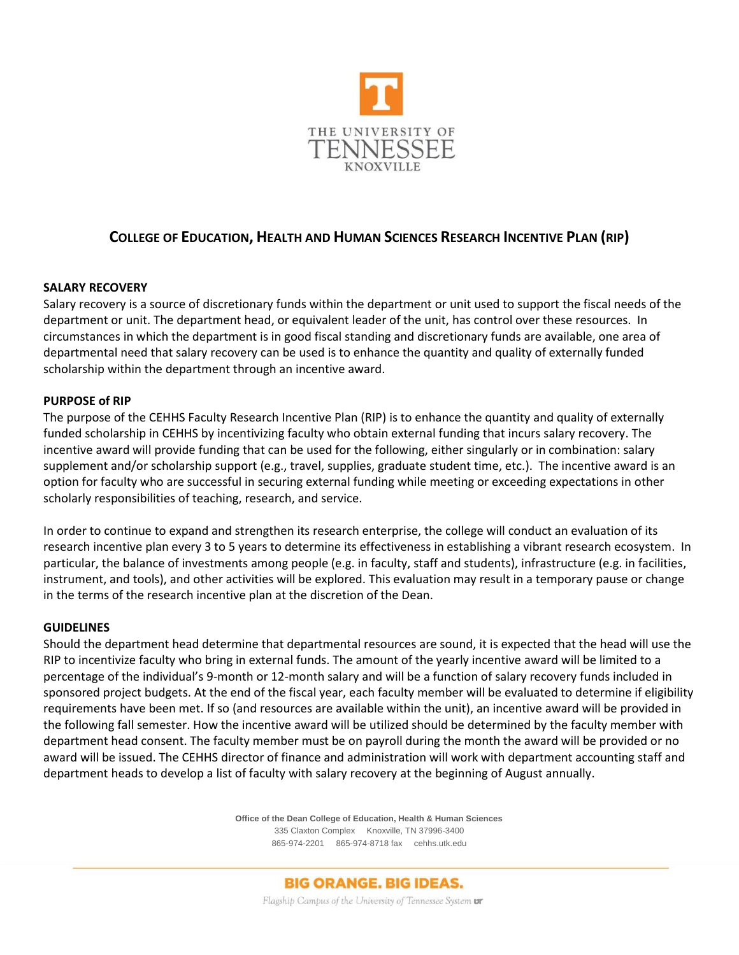

# **COLLEGE OF EDUCATION, HEALTH AND HUMAN SCIENCES RESEARCH INCENTIVE PLAN (RIP)**

### **SALARY RECOVERY**

Salary recovery is a source of discretionary funds within the department or unit used to support the fiscal needs of the department or unit. The department head, or equivalent leader of the unit, has control over these resources. In circumstances in which the department is in good fiscal standing and discretionary funds are available, one area of departmental need that salary recovery can be used is to enhance the quantity and quality of externally funded scholarship within the department through an incentive award.

#### **PURPOSE of RIP**

The purpose of the CEHHS Faculty Research Incentive Plan (RIP) is to enhance the quantity and quality of externally funded scholarship in CEHHS by incentivizing faculty who obtain external funding that incurs salary recovery. The incentive award will provide funding that can be used for the following, either singularly or in combination: salary supplement and/or scholarship support (e.g., travel, supplies, graduate student time, etc.). The incentive award is an option for faculty who are successful in securing external funding while meeting or exceeding expectations in other scholarly responsibilities of teaching, research, and service.

In order to continue to expand and strengthen its research enterprise, the college will conduct an evaluation of its research incentive plan every 3 to 5 years to determine its effectiveness in establishing a vibrant research ecosystem. In particular, the balance of investments among people (e.g. in faculty, staff and students), infrastructure (e.g. in facilities, instrument, and tools), and other activities will be explored. This evaluation may result in a temporary pause or change in the terms of the research incentive plan at the discretion of the Dean.

#### **GUIDELINES**

Should the department head determine that departmental resources are sound, it is expected that the head will use the RIP to incentivize faculty who bring in external funds. The amount of the yearly incentive award will be limited to a percentage of the individual's 9-month or 12-month salary and will be a function of salary recovery funds included in sponsored project budgets. At the end of the fiscal year, each faculty member will be evaluated to determine if eligibility requirements have been met. If so (and resources are available within the unit), an incentive award will be provided in the following fall semester. How the incentive award will be utilized should be determined by the faculty member with department head consent. The faculty member must be on payroll during the month the award will be provided or no award will be issued. The CEHHS director of finance and administration will work with department accounting staff and department heads to develop a list of faculty with salary recovery at the beginning of August annually.

> **Office of the Dean College of Education, Health & Human Sciences** 335 Claxton Complex Knoxville, TN 37996-3400 865-974-2201 865-974-8718 fax cehhs.utk.edu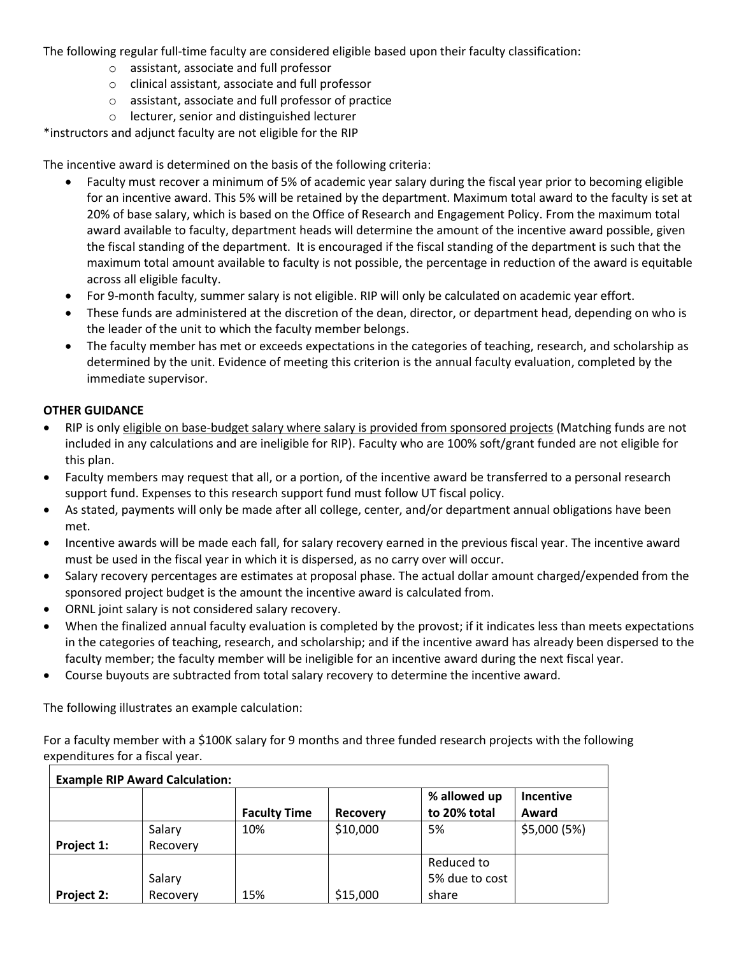The following regular full-time faculty are considered eligible based upon their faculty classification:

- o assistant, associate and full professor
- o clinical assistant, associate and full professor
- o assistant, associate and full professor of practice
- o lecturer, senior and distinguished lecturer

\*instructors and adjunct faculty are not eligible for the RIP

The incentive award is determined on the basis of the following criteria:

- Faculty must recover a minimum of 5% of academic year salary during the fiscal year prior to becoming eligible for an incentive award. This 5% will be retained by the department. Maximum total award to the faculty is set at 20% of base salary, which is based on the Office of Research and Engagement Policy. From the maximum total award available to faculty, department heads will determine the amount of the incentive award possible, given the fiscal standing of the department. It is encouraged if the fiscal standing of the department is such that the maximum total amount available to faculty is not possible, the percentage in reduction of the award is equitable across all eligible faculty.
- For 9-month faculty, summer salary is not eligible. RIP will only be calculated on academic year effort.
- These funds are administered at the discretion of the dean, director, or department head, depending on who is the leader of the unit to which the faculty member belongs.
- The faculty member has met or exceeds expectations in the categories of teaching, research, and scholarship as determined by the unit. Evidence of meeting this criterion is the annual faculty evaluation, completed by the immediate supervisor.

### **OTHER GUIDANCE**

- RIP is only eligible on base-budget salary where salary is provided from sponsored projects (Matching funds are not included in any calculations and are ineligible for RIP). Faculty who are 100% soft/grant funded are not eligible for this plan.
- Faculty members may request that all, or a portion, of the incentive award be transferred to a personal research support fund. Expenses to this research support fund must follow UT fiscal policy.
- As stated, payments will only be made after all college, center, and/or department annual obligations have been met.
- Incentive awards will be made each fall, for salary recovery earned in the previous fiscal year. The incentive award must be used in the fiscal year in which it is dispersed, as no carry over will occur.
- Salary recovery percentages are estimates at proposal phase. The actual dollar amount charged/expended from the sponsored project budget is the amount the incentive award is calculated from.
- ORNL joint salary is not considered salary recovery.
- When the finalized annual faculty evaluation is completed by the provost; if it indicates less than meets expectations in the categories of teaching, research, and scholarship; and if the incentive award has already been dispersed to the faculty member; the faculty member will be ineligible for an incentive award during the next fiscal year.
- Course buyouts are subtracted from total salary recovery to determine the incentive award.

The following illustrates an example calculation:

For a faculty member with a \$100K salary for 9 months and three funded research projects with the following expenditures for a fiscal year.

| <b>Example RIP Award Calculation:</b> |          |                     |                 |                |              |  |  |  |  |
|---------------------------------------|----------|---------------------|-----------------|----------------|--------------|--|--|--|--|
|                                       |          |                     |                 | % allowed up   | Incentive    |  |  |  |  |
|                                       |          | <b>Faculty Time</b> | <b>Recovery</b> | to 20% total   | Award        |  |  |  |  |
|                                       | Salary   | 10%                 | \$10,000        | 5%             | \$5,000 (5%) |  |  |  |  |
| Project 1:                            | Recovery |                     |                 |                |              |  |  |  |  |
|                                       |          |                     |                 | Reduced to     |              |  |  |  |  |
|                                       | Salary   |                     |                 | 5% due to cost |              |  |  |  |  |
| Project 2:                            | Recovery | 15%                 | \$15,000        | share          |              |  |  |  |  |